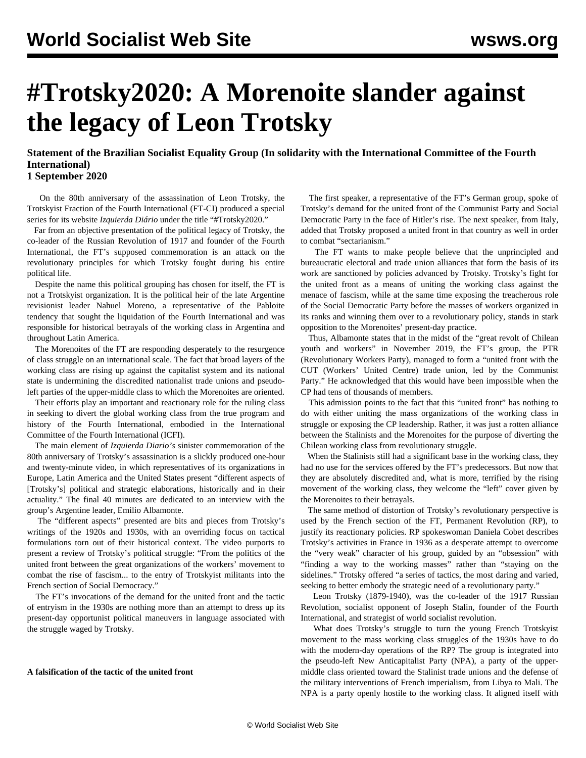# **#Trotsky2020: A Morenoite slander against the legacy of Leon Trotsky**

**Statement of the Brazilian Socialist Equality Group (In solidarity with the International Committee of the Fourth International) 1 September 2020**

 On the 80th anniversary of the assassination of Leon Trotsky, the Trotskyist Fraction of the Fourth International (FT-CI) produced a special series for its website *Izquierda Diário* under the title "#Trotsky2020."

 Far from an objective presentation of the political legacy of Trotsky, the co-leader of the Russian Revolution of 1917 and founder of the Fourth International, the FT's supposed commemoration is an attack on the revolutionary principles for which Trotsky fought during his entire political life.

 Despite the name this political grouping has chosen for itself, the FT is not a Trotskyist organization. It is the political heir of the late Argentine revisionist leader Nahuel Moreno, a representative of the Pabloite tendency that sought the liquidation of the Fourth International and was responsible for historical betrayals of the working class in Argentina and throughout Latin America.

 The Morenoites of the FT are responding desperately to the resurgence of class struggle on an international scale. The fact that broad layers of the working class are rising up against the capitalist system and its national state is undermining the discredited nationalist trade unions and pseudoleft parties of the upper-middle class to which the Morenoites are oriented.

 Their efforts play an important and reactionary role for the ruling class in seeking to divert the global working class from the true program and history of the Fourth International, embodied in the International Committee of the Fourth International (ICFI).

 The main element of *Izquierda Diario's* sinister commemoration of the 80th anniversary of Trotsky's assassination is a slickly produced one-hour and twenty-minute video, in which representatives of its organizations in Europe, Latin America and the United States present "different aspects of [Trotsky's] political and strategic elaborations, historically and in their actuality." The final 40 minutes are dedicated to an interview with the group's Argentine leader, Emilio Albamonte.

 The "different aspects" presented are bits and pieces from Trotsky's writings of the 1920s and 1930s, with an overriding focus on tactical formulations torn out of their historical context. The video purports to present a review of Trotsky's political struggle: "From the politics of the united front between the great organizations of the workers' movement to combat the rise of fascism... to the entry of Trotskyist militants into the French section of Social Democracy."

 The FT's invocations of the demand for the united front and the tactic of entryism in the 1930s are nothing more than an attempt to dress up its present-day opportunist political maneuvers in language associated with the struggle waged by Trotsky.

### **A falsification of the tactic of the united front**

 The first speaker, a representative of the FT's German group, spoke of Trotsky's demand for the united front of the Communist Party and Social Democratic Party in the face of Hitler's rise. The next speaker, from Italy, added that Trotsky proposed a united front in that country as well in order to combat "sectarianism."

 The FT wants to make people believe that the unprincipled and bureaucratic electoral and trade union alliances that form the basis of its work are sanctioned by policies advanced by Trotsky. Trotsky's fight for the united front as a means of uniting the working class against the menace of fascism, while at the same time exposing the treacherous role of the Social Democratic Party before the masses of workers organized in its ranks and winning them over to a revolutionary policy, stands in stark opposition to the Morenoites' present-day practice.

 Thus, Albamonte states that in the midst of the "great revolt of Chilean youth and workers" in November 2019, the FT's group, the PTR (Revolutionary Workers Party), managed to form a "united front with the CUT (Workers' United Centre) trade union, led by the Communist Party." He acknowledged that this would have been impossible when the CP had tens of thousands of members.

 This admission points to the fact that this "united front" has nothing to do with either uniting the mass organizations of the working class in struggle or exposing the CP leadership. Rather, it was just a rotten alliance between the Stalinists and the Morenoites for the purpose of diverting the Chilean working class from revolutionary struggle.

 When the Stalinists still had a significant base in the working class, they had no use for the services offered by the FT's predecessors. But now that they are absolutely discredited and, what is more, terrified by the rising movement of the working class, they welcome the "left" cover given by the Morenoites to their betrayals.

 The same method of distortion of Trotsky's revolutionary perspective is used by the French section of the FT, Permanent Revolution (RP), to justify its reactionary policies. RP spokeswoman Daniela Cobet describes Trotsky's activities in France in 1936 as a desperate attempt to overcome the "very weak" character of his group, guided by an "obsession" with "finding a way to the working masses" rather than "staying on the sidelines." Trotsky offered "a series of tactics, the most daring and varied, seeking to better embody the strategic need of a revolutionary party."

 Leon Trotsky (1879-1940), was the co-leader of the 1917 Russian Revolution, socialist opponent of Joseph Stalin, founder of the Fourth International, and strategist of world socialist revolution.

 What does Trotsky's struggle to turn the young French Trotskyist movement to the mass working class struggles of the 1930s have to do with the modern-day operations of the RP? The group is integrated into the pseudo-left New Anticapitalist Party (NPA), a party of the uppermiddle class oriented toward the Stalinist trade unions and the defense of the military interventions of French imperialism, from Libya to Mali. The NPA is a party openly hostile to the working class. It aligned itself with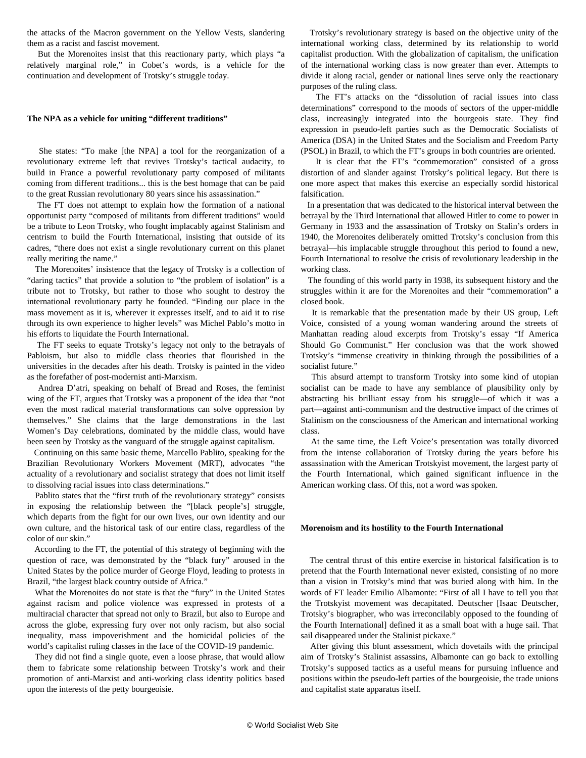the attacks of the Macron government on the Yellow Vests, slandering them as a racist and fascist movement.

 But the Morenoites insist that this reactionary party, which plays "a relatively marginal role," in Cobet's words, is a vehicle for the continuation and development of Trotsky's struggle today.

### **The NPA as a vehicle for uniting "different traditions"**

 She states: "To make [the NPA] a tool for the reorganization of a revolutionary extreme left that revives Trotsky's tactical audacity, to build in France a powerful revolutionary party composed of militants coming from different traditions... this is the best homage that can be paid to the great Russian revolutionary 80 years since his assassination."

 The FT does not attempt to explain how the formation of a national opportunist party "composed of militants from different traditions" would be a tribute to Leon Trotsky, who fought implacably against Stalinism and centrism to build the Fourth International, insisting that outside of its cadres, "there does not exist a single revolutionary current on this planet really meriting the name."

 The Morenoites' insistence that the legacy of Trotsky is a collection of "daring tactics" that provide a solution to "the problem of isolation" is a tribute not to Trotsky, but rather to those who sought to destroy the international revolutionary party he founded. "Finding our place in the mass movement as it is, wherever it expresses itself, and to aid it to rise through its own experience to higher levels" was Michel Pablo's motto in his efforts to liquidate the Fourth International.

 The FT seeks to equate Trotsky's legacy not only to the betrayals of Pabloism, but also to middle class theories that flourished in the universities in the decades after his death. Trotsky is painted in the video as the forefather of post-modernist anti-Marxism.

 Andrea D'atri, speaking on behalf of Bread and Roses, the feminist wing of the FT, argues that Trotsky was a proponent of the idea that "not even the most radical material transformations can solve oppression by themselves." She claims that the large demonstrations in the last Women's Day celebrations, dominated by the middle class, would have been seen by Trotsky as the vanguard of the struggle against capitalism.

 Continuing on this same basic theme, Marcello Pablito, speaking for the Brazilian Revolutionary Workers Movement (MRT), advocates "the actuality of a revolutionary and socialist strategy that does not limit itself to dissolving racial issues into class determinations."

 Pablito states that the "first truth of the revolutionary strategy" consists in exposing the relationship between the "[black people's] struggle, which departs from the fight for our own lives, our own identity and our own culture, and the historical task of our entire class, regardless of the color of our skin."

 According to the FT, the potential of this strategy of beginning with the question of race, was demonstrated by the "black fury" aroused in the United States by the police murder of George Floyd, leading to protests in Brazil, "the largest black country outside of Africa."

 What the Morenoites do not state is that the "fury" in the United States against racism and police violence was expressed in protests of a multiracial character that spread not only to Brazil, but also to Europe and across the globe, expressing fury over not only racism, but also social inequality, mass impoverishment and the homicidal policies of the world's capitalist ruling classes in the face of the COVID-19 pandemic.

 They did not find a single quote, even a loose phrase, that would allow them to fabricate some relationship between Trotsky's work and their promotion of anti-Marxist and anti-working class identity politics based upon the interests of the petty bourgeoisie.

 Trotsky's revolutionary strategy is based on the objective unity of the international working class, determined by its relationship to world capitalist production. With the globalization of capitalism, the unification of the international working class is now greater than ever. Attempts to divide it along racial, gender or national lines serve only the reactionary purposes of the ruling class.

 The FT's attacks on the "dissolution of racial issues into class determinations" correspond to the moods of sectors of the upper-middle class, increasingly integrated into the bourgeois state. They find expression in pseudo-left parties such as the Democratic Socialists of America (DSA) in the United States and the Socialism and Freedom Party (PSOL) in Brazil, to which the FT's groups in both countries are oriented.

 It is clear that the FT's "commemoration" consisted of a gross distortion of and slander against Trotsky's political legacy. But there is one more aspect that makes this exercise an especially sordid historical falsification.

 In a presentation that was dedicated to the historical interval between the betrayal by the Third International that allowed Hitler to come to power in Germany in 1933 and the assassination of Trotsky on Stalin's orders in 1940, the Morenoites deliberately omitted Trotsky's conclusion from this betrayal—his implacable struggle throughout this period to found a new, Fourth International to resolve the crisis of revolutionary leadership in the working class.

 The founding of this world party in 1938, its subsequent history and the struggles within it are for the Morenoites and their "commemoration" a closed book.

 It is remarkable that the presentation made by their US group, Left Voice, consisted of a young woman wandering around the streets of Manhattan reading aloud excerpts from Trotsky's essay "If America Should Go Communist." Her conclusion was that the work showed Trotsky's "immense creativity in thinking through the possibilities of a socialist future."

 This absurd attempt to transform Trotsky into some kind of utopian socialist can be made to have any semblance of plausibility only by abstracting his brilliant essay from his struggle—of which it was a part—against anti-communism and the destructive impact of the crimes of Stalinism on the consciousness of the American and international working class.

 At the same time, the Left Voice's presentation was totally divorced from the intense collaboration of Trotsky during the years before his assassination with the American Trotskyist movement, the largest party of the Fourth International, which gained significant influence in the American working class. Of this, not a word was spoken.

#### **Morenoism and its hostility to the Fourth International**

 The central thrust of this entire exercise in historical falsification is to pretend that the Fourth International never existed, consisting of no more than a vision in Trotsky's mind that was buried along with him. In the words of FT leader Emilio Albamonte: "First of all I have to tell you that the Trotskyist movement was decapitated. Deutscher [Isaac Deutscher, Trotsky's biographer, who was irreconcilably opposed to the founding of the Fourth International] defined it as a small boat with a huge sail. That sail disappeared under the Stalinist pickaxe."

 After giving this blunt assessment, which dovetails with the principal aim of Trotsky's Stalinist assassins, Albamonte can go back to extolling Trotsky's supposed tactics as a useful means for pursuing influence and positions within the pseudo-left parties of the bourgeoisie, the trade unions and capitalist state apparatus itself.